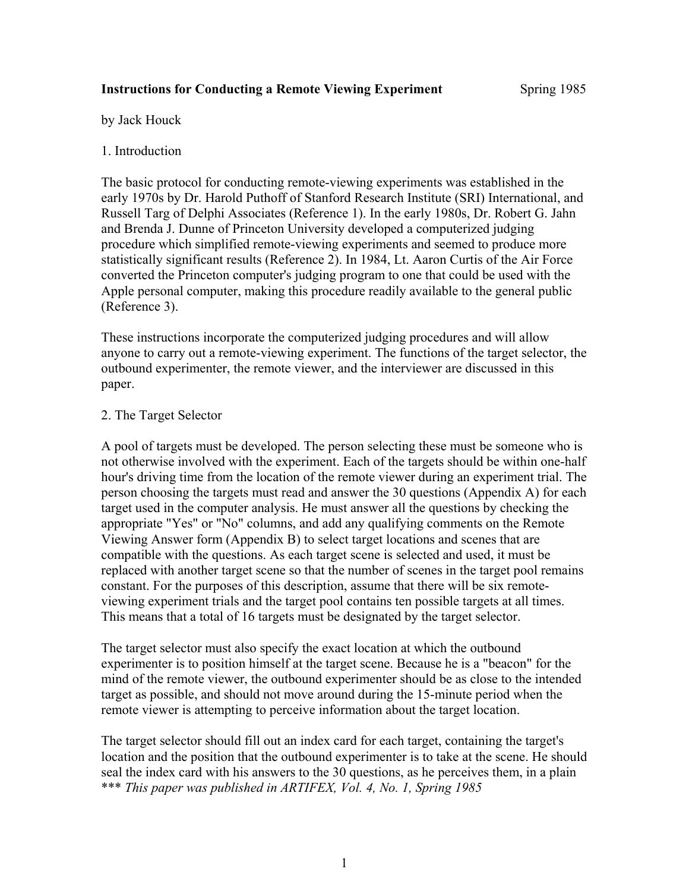#### **Instructions for Conducting a Remote Viewing Experiment** Spring 1985

by Jack Houck

## 1. Introduction

The basic protocol for conducting remote-viewing experiments was established in the early 1970s by Dr. Harold Puthoff of Stanford Research Institute (SRI) International, and Russell Targ of Delphi Associates (Reference 1). In the early 1980s, Dr. Robert G. Jahn and Brenda J. Dunne of Princeton University developed a computerized judging procedure which simplified remote-viewing experiments and seemed to produce more statistically significant results (Reference 2). In 1984, Lt. Aaron Curtis of the Air Force converted the Princeton computer's judging program to one that could be used with the Apple personal computer, making this procedure readily available to the general public (Reference 3).

These instructions incorporate the computerized judging procedures and will allow anyone to carry out a remote-viewing experiment. The functions of the target selector, the outbound experimenter, the remote viewer, and the interviewer are discussed in this paper.

## 2. The Target Selector

A pool of targets must be developed. The person selecting these must be someone who is not otherwise involved with the experiment. Each of the targets should be within one-half hour's driving time from the location of the remote viewer during an experiment trial. The person choosing the targets must read and answer the 30 questions (Appendix A) for each target used in the computer analysis. He must answer all the questions by checking the appropriate "Yes" or "No" columns, and add any qualifying comments on the Remote Viewing Answer form (Appendix B) to select target locations and scenes that are compatible with the questions. As each target scene is selected and used, it must be replaced with another target scene so that the number of scenes in the target pool remains constant. For the purposes of this description, assume that there will be six remoteviewing experiment trials and the target pool contains ten possible targets at all times. This means that a total of 16 targets must be designated by the target selector.

The target selector must also specify the exact location at which the outbound experimenter is to position himself at the target scene. Because he is a "beacon" for the mind of the remote viewer, the outbound experimenter should be as close to the intended target as possible, and should not move around during the 15-minute period when the remote viewer is attempting to perceive information about the target location.

The target selector should fill out an index card for each target, containing the target's location and the position that the outbound experimenter is to take at the scene. He should seal the index card with his answers to the 30 questions, as he perceives them, in a plain \*\*\* *This paper was published in ARTIFEX, Vol. 4, No. 1, Spring 1985*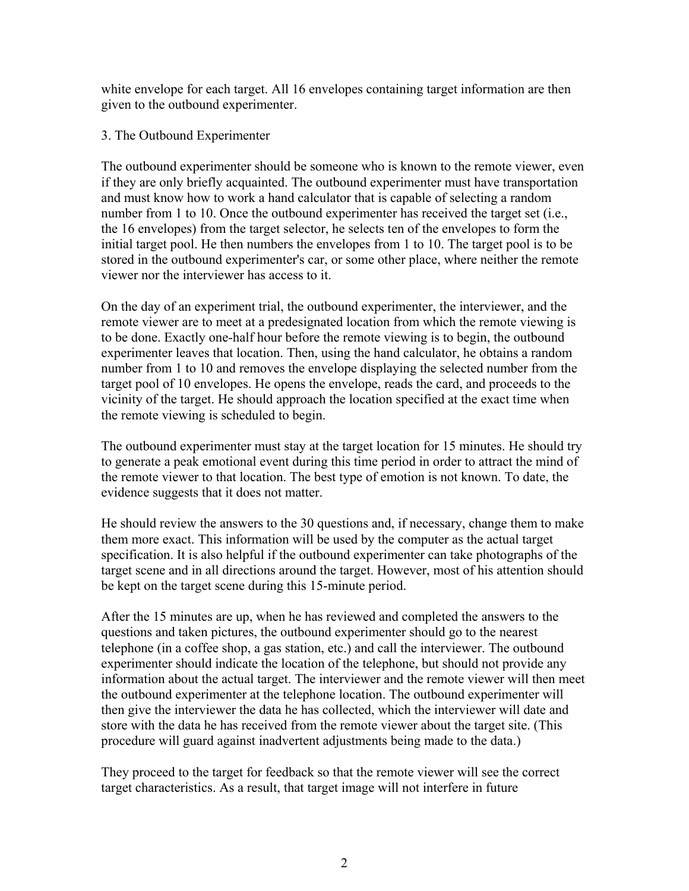white envelope for each target. All 16 envelopes containing target information are then given to the outbound experimenter.

## 3. The Outbound Experimenter

The outbound experimenter should be someone who is known to the remote viewer, even if they are only briefly acquainted. The outbound experimenter must have transportation and must know how to work a hand calculator that is capable of selecting a random number from 1 to 10. Once the outbound experimenter has received the target set (i.e., the 16 envelopes) from the target selector, he selects ten of the envelopes to form the initial target pool. He then numbers the envelopes from 1 to 10. The target pool is to be stored in the outbound experimenter's car, or some other place, where neither the remote viewer nor the interviewer has access to it.

On the day of an experiment trial, the outbound experimenter, the interviewer, and the remote viewer are to meet at a predesignated location from which the remote viewing is to be done. Exactly one-half hour before the remote viewing is to begin, the outbound experimenter leaves that location. Then, using the hand calculator, he obtains a random number from 1 to 10 and removes the envelope displaying the selected number from the target pool of 10 envelopes. He opens the envelope, reads the card, and proceeds to the vicinity of the target. He should approach the location specified at the exact time when the remote viewing is scheduled to begin.

The outbound experimenter must stay at the target location for 15 minutes. He should try to generate a peak emotional event during this time period in order to attract the mind of the remote viewer to that location. The best type of emotion is not known. To date, the evidence suggests that it does not matter.

He should review the answers to the 30 questions and, if necessary, change them to make them more exact. This information will be used by the computer as the actual target specification. It is also helpful if the outbound experimenter can take photographs of the target scene and in all directions around the target. However, most of his attention should be kept on the target scene during this 15-minute period.

After the 15 minutes are up, when he has reviewed and completed the answers to the questions and taken pictures, the outbound experimenter should go to the nearest telephone (in a coffee shop, a gas station, etc.) and call the interviewer. The outbound experimenter should indicate the location of the telephone, but should not provide any information about the actual target. The interviewer and the remote viewer will then meet the outbound experimenter at the telephone location. The outbound experimenter will then give the interviewer the data he has collected, which the interviewer will date and store with the data he has received from the remote viewer about the target site. (This procedure will guard against inadvertent adjustments being made to the data.)

They proceed to the target for feedback so that the remote viewer will see the correct target characteristics. As a result, that target image will not interfere in future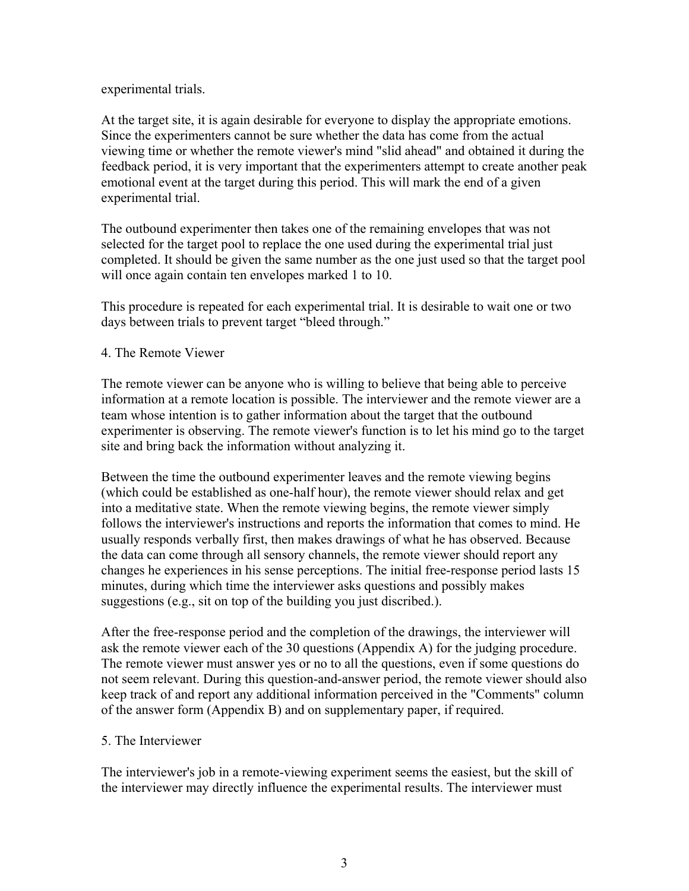experimental trials.

At the target site, it is again desirable for everyone to display the appropriate emotions. Since the experimenters cannot be sure whether the data has come from the actual viewing time or whether the remote viewer's mind "slid ahead" and obtained it during the feedback period, it is very important that the experimenters attempt to create another peak emotional event at the target during this period. This will mark the end of a given experimental trial.

The outbound experimenter then takes one of the remaining envelopes that was not selected for the target pool to replace the one used during the experimental trial just completed. It should be given the same number as the one just used so that the target pool will once again contain ten envelopes marked 1 to 10.

This procedure is repeated for each experimental trial. It is desirable to wait one or two days between trials to prevent target "bleed through."

#### 4. The Remote Viewer

The remote viewer can be anyone who is willing to believe that being able to perceive information at a remote location is possible. The interviewer and the remote viewer are a team whose intention is to gather information about the target that the outbound experimenter is observing. The remote viewer's function is to let his mind go to the target site and bring back the information without analyzing it.

Between the time the outbound experimenter leaves and the remote viewing begins (which could be established as one-half hour), the remote viewer should relax and get into a meditative state. When the remote viewing begins, the remote viewer simply follows the interviewer's instructions and reports the information that comes to mind. He usually responds verbally first, then makes drawings of what he has observed. Because the data can come through all sensory channels, the remote viewer should report any changes he experiences in his sense perceptions. The initial free-response period lasts 15 minutes, during which time the interviewer asks questions and possibly makes suggestions (e.g., sit on top of the building you just discribed.).

After the free-response period and the completion of the drawings, the interviewer will ask the remote viewer each of the 30 questions (Appendix A) for the judging procedure. The remote viewer must answer yes or no to all the questions, even if some questions do not seem relevant. During this question-and-answer period, the remote viewer should also keep track of and report any additional information perceived in the "Comments" column of the answer form (Appendix B) and on supplementary paper, if required.

#### 5. The Interviewer

The interviewer's job in a remote-viewing experiment seems the easiest, but the skill of the interviewer may directly influence the experimental results. The interviewer must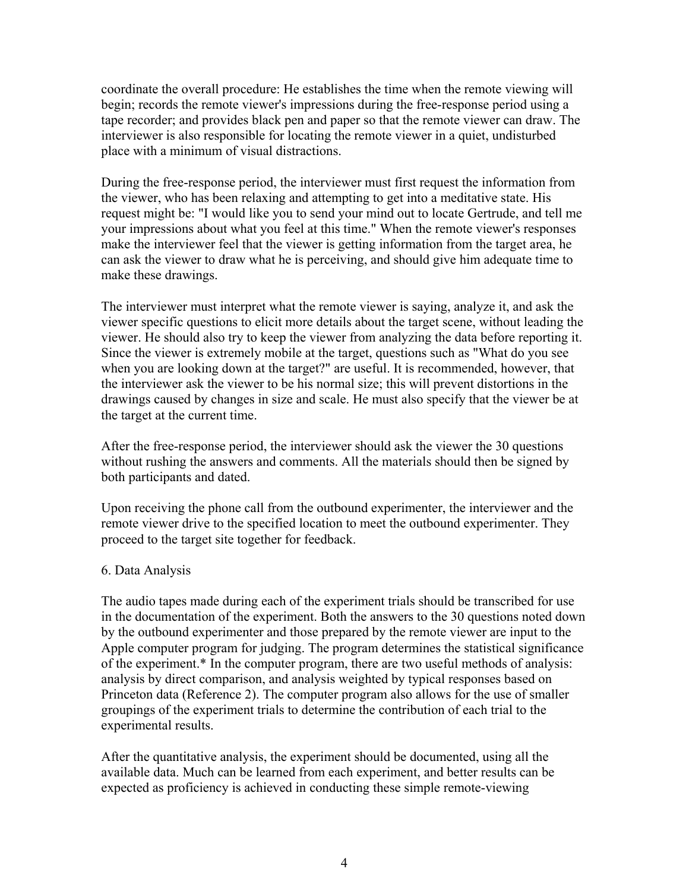coordinate the overall procedure: He establishes the time when the remote viewing will begin; records the remote viewer's impressions during the free-response period using a tape recorder; and provides black pen and paper so that the remote viewer can draw. The interviewer is also responsible for locating the remote viewer in a quiet, undisturbed place with a minimum of visual distractions.

During the free-response period, the interviewer must first request the information from the viewer, who has been relaxing and attempting to get into a meditative state. His request might be: "I would like you to send your mind out to locate Gertrude, and tell me your impressions about what you feel at this time." When the remote viewer's responses make the interviewer feel that the viewer is getting information from the target area, he can ask the viewer to draw what he is perceiving, and should give him adequate time to make these drawings.

The interviewer must interpret what the remote viewer is saying, analyze it, and ask the viewer specific questions to elicit more details about the target scene, without leading the viewer. He should also try to keep the viewer from analyzing the data before reporting it. Since the viewer is extremely mobile at the target, questions such as "What do you see when you are looking down at the target?" are useful. It is recommended, however, that the interviewer ask the viewer to be his normal size; this will prevent distortions in the drawings caused by changes in size and scale. He must also specify that the viewer be at the target at the current time.

After the free-response period, the interviewer should ask the viewer the 30 questions without rushing the answers and comments. All the materials should then be signed by both participants and dated.

Upon receiving the phone call from the outbound experimenter, the interviewer and the remote viewer drive to the specified location to meet the outbound experimenter. They proceed to the target site together for feedback.

#### 6. Data Analysis

The audio tapes made during each of the experiment trials should be transcribed for use in the documentation of the experiment. Both the answers to the 30 questions noted down by the outbound experimenter and those prepared by the remote viewer are input to the Apple computer program for judging. The program determines the statistical significance of the experiment.\* In the computer program, there are two useful methods of analysis: analysis by direct comparison, and analysis weighted by typical responses based on Princeton data (Reference 2). The computer program also allows for the use of smaller groupings of the experiment trials to determine the contribution of each trial to the experimental results.

After the quantitative analysis, the experiment should be documented, using all the available data. Much can be learned from each experiment, and better results can be expected as proficiency is achieved in conducting these simple remote-viewing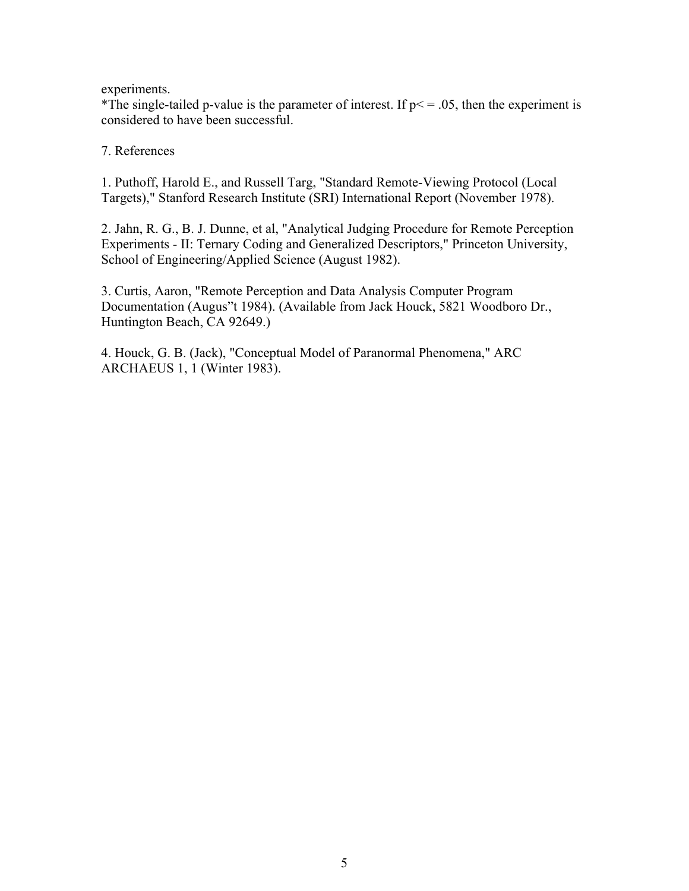experiments.

\*The single-tailed p-value is the parameter of interest. If  $p \le 0.05$ , then the experiment is considered to have been successful.

7. References

1. Puthoff, Harold E., and Russell Targ, "Standard Remote-Viewing Protocol (Local Targets)," Stanford Research Institute (SRI) International Report (November 1978).

2. Jahn, R. G., B. J. Dunne, et al, "Analytical Judging Procedure for Remote Perception Experiments - II: Ternary Coding and Generalized Descriptors," Princeton University, School of Engineering/Applied Science (August 1982).

3. Curtis, Aaron, "Remote Perception and Data Analysis Computer Program Documentation (Augus"t 1984). (Available from Jack Houck, 5821 Woodboro Dr., Huntington Beach, CA 92649.)

4. Houck, G. B. (Jack), "Conceptual Model of Paranormal Phenomena," ARC ARCHAEUS 1, 1 (Winter 1983).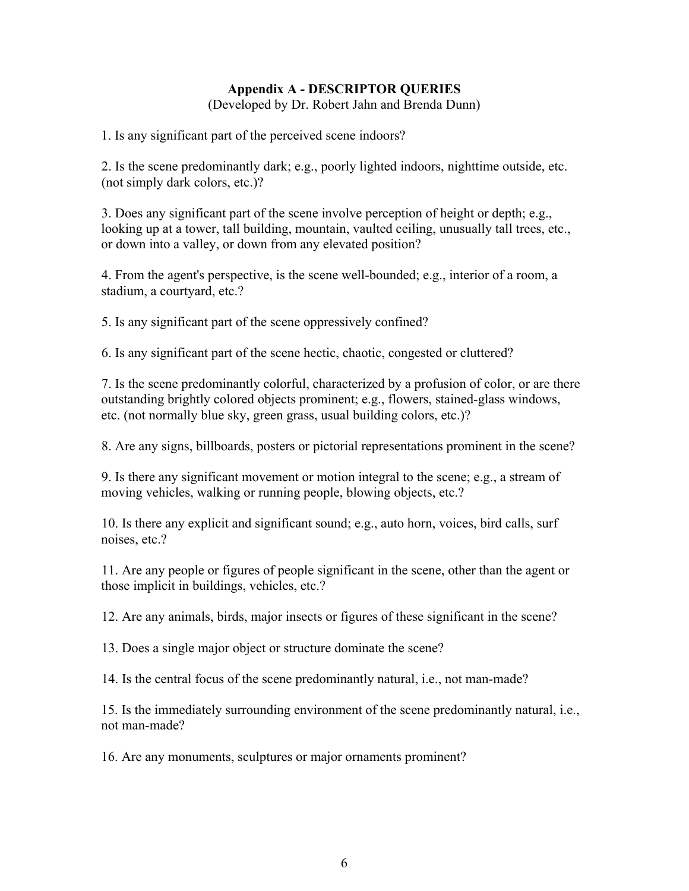# **Appendix A - DESCRIPTOR QUERIES**

(Developed by Dr. Robert Jahn and Brenda Dunn)

1. Is any significant part of the perceived scene indoors?

2. Is the scene predominantly dark; e.g., poorly lighted indoors, nighttime outside, etc. (not simply dark colors, etc.)?

3. Does any significant part of the scene involve perception of height or depth; e.g., looking up at a tower, tall building, mountain, vaulted ceiling, unusually tall trees, etc., or down into a valley, or down from any elevated position?

4. From the agent's perspective, is the scene well-bounded; e.g., interior of a room, a stadium, a courtyard, etc.?

5. Is any significant part of the scene oppressively confined?

6. Is any significant part of the scene hectic, chaotic, congested or cluttered?

7. Is the scene predominantly colorful, characterized by a profusion of color, or are there outstanding brightly colored objects prominent; e.g., flowers, stained-glass windows, etc. (not normally blue sky, green grass, usual building colors, etc.)?

8. Are any signs, billboards, posters or pictorial representations prominent in the scene?

9. Is there any significant movement or motion integral to the scene; e.g., a stream of moving vehicles, walking or running people, blowing objects, etc.?

10. Is there any explicit and significant sound; e.g., auto horn, voices, bird calls, surf noises, etc.?

11. Are any people or figures of people significant in the scene, other than the agent or those implicit in buildings, vehicles, etc.?

12. Are any animals, birds, major insects or figures of these significant in the scene?

13. Does a single major object or structure dominate the scene?

14. Is the central focus of the scene predominantly natural, i.e., not man-made?

15. Is the immediately surrounding environment of the scene predominantly natural, i.e., not man-made?

16. Are any monuments, sculptures or major ornaments prominent?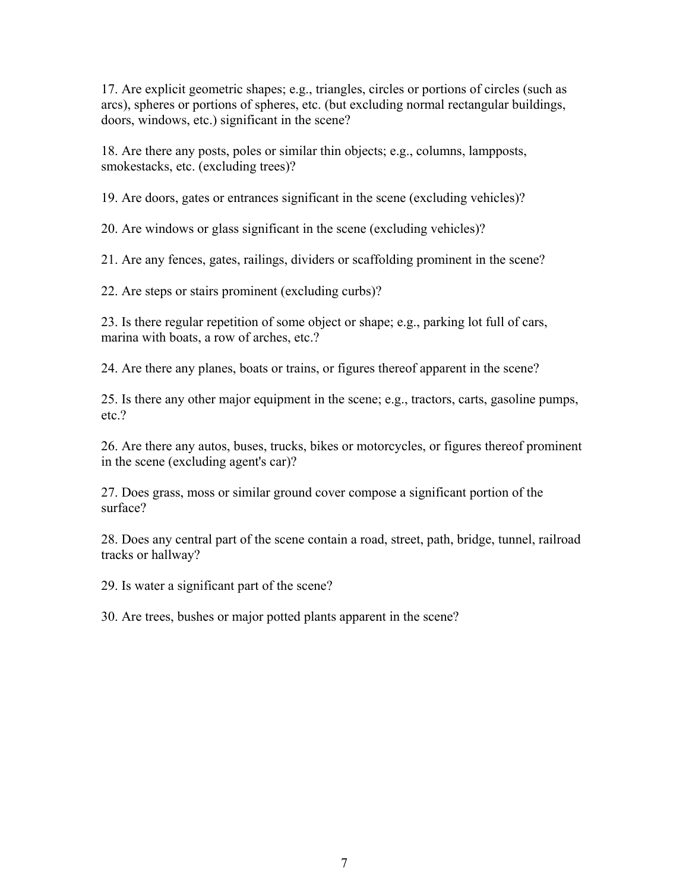17. Are explicit geometric shapes; e.g., triangles, circles or portions of circles (such as arcs), spheres or portions of spheres, etc. (but excluding normal rectangular buildings, doors, windows, etc.) significant in the scene?

18. Are there any posts, poles or similar thin objects; e.g., columns, lampposts, smokestacks, etc. (excluding trees)?

19. Are doors, gates or entrances significant in the scene (excluding vehicles)?

20. Are windows or glass significant in the scene (excluding vehicles)?

21. Are any fences, gates, railings, dividers or scaffolding prominent in the scene?

22. Are steps or stairs prominent (excluding curbs)?

23. Is there regular repetition of some object or shape; e.g., parking lot full of cars, marina with boats, a row of arches, etc.?

24. Are there any planes, boats or trains, or figures thereof apparent in the scene?

25. Is there any other major equipment in the scene; e.g., tractors, carts, gasoline pumps, etc.?

26. Are there any autos, buses, trucks, bikes or motorcycles, or figures thereof prominent in the scene (excluding agent's car)?

27. Does grass, moss or similar ground cover compose a significant portion of the surface?

28. Does any central part of the scene contain a road, street, path, bridge, tunnel, railroad tracks or hallway?

29. Is water a significant part of the scene?

30. Are trees, bushes or major potted plants apparent in the scene?